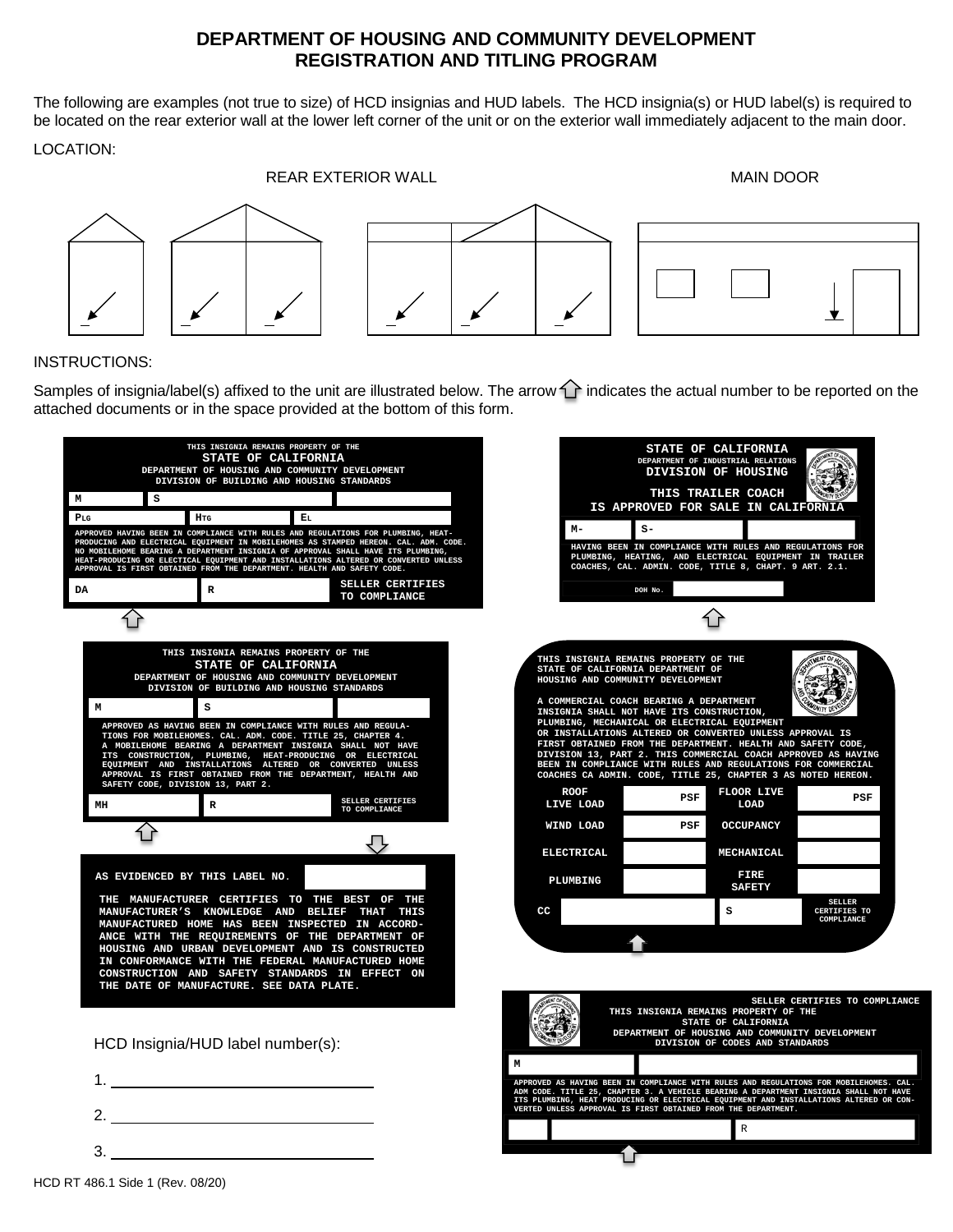## **DEPARTMENT OF HOUSING AND COMMUNITY DEVELOPMENT REGISTRATION AND TITLING PROGRAM**

The following are examples (not true to size) of HCD insignias and HUD labels. The HCD insignia(s) or HUD label(s) is required to be located on the rear exterior wall at the lower left corner of the unit or on the exterior wall immediately adjacent to the main door.

## LOCATION:

REAR EXTERIOR WALL **A REAR EXTERIOR WALL** 

INSTRUCTIONS:

Samples of insignia/label(s) affixed to the unit are illustrated below. The arrow  $\hat{I}$  indicates the actual number to be reported on the attached documents or in the space provided at the bottom of this form.